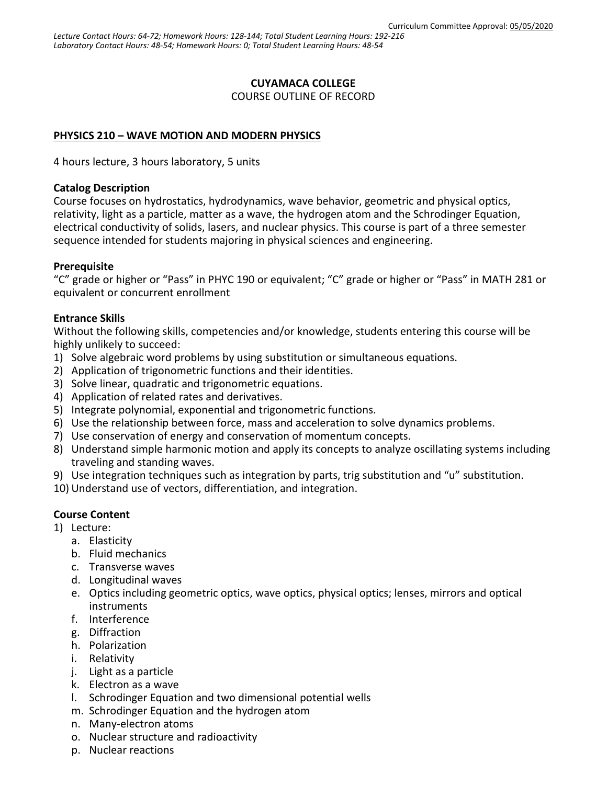### **CUYAMACA COLLEGE**

COURSE OUTLINE OF RECORD

### **PHYSICS 210 – WAVE MOTION AND MODERN PHYSICS**

4 hours lecture, 3 hours laboratory, 5 units

#### **Catalog Description**

Course focuses on hydrostatics, hydrodynamics, wave behavior, geometric and physical optics, relativity, light as a particle, matter as a wave, the hydrogen atom and the Schrodinger Equation, electrical conductivity of solids, lasers, and nuclear physics. This course is part of a three semester sequence intended for students majoring in physical sciences and engineering.

### **Prerequisite**

"C" grade or higher or "Pass" in PHYC 190 or equivalent; "C" grade or higher or "Pass" in MATH 281 or equivalent or concurrent enrollment

### **Entrance Skills**

Without the following skills, competencies and/or knowledge, students entering this course will be highly unlikely to succeed:

- 1) Solve algebraic word problems by using substitution or simultaneous equations.
- 2) Application of trigonometric functions and their identities.
- 3) Solve linear, quadratic and trigonometric equations.
- 4) Application of related rates and derivatives.
- 5) Integrate polynomial, exponential and trigonometric functions.
- 6) Use the relationship between force, mass and acceleration to solve dynamics problems.
- 7) Use conservation of energy and conservation of momentum concepts.
- 8) Understand simple harmonic motion and apply its concepts to analyze oscillating systems including traveling and standing waves.
- 9) Use integration techniques such as integration by parts, trig substitution and "u" substitution.
- 10) Understand use of vectors, differentiation, and integration.

### **Course Content**

- 1) Lecture:
	- a. Elasticity
	- b. Fluid mechanics
	- c. Transverse waves
	- d. Longitudinal waves
	- e. Optics including geometric optics, wave optics, physical optics; lenses, mirrors and optical instruments
	- f. Interference
	- g. Diffraction
	- h. Polarization
	- i. Relativity
	- j. Light as a particle
	- k. Electron as a wave
	- l. Schrodinger Equation and two dimensional potential wells
	- m. Schrodinger Equation and the hydrogen atom
	- n. Many-electron atoms
	- o. Nuclear structure and radioactivity
	- p. Nuclear reactions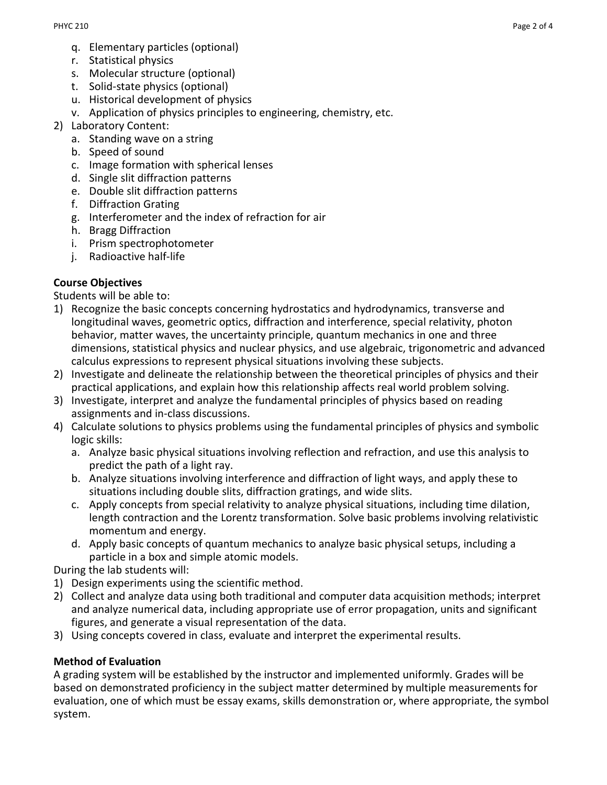- q. Elementary particles (optional)
- r. Statistical physics
- s. Molecular structure (optional)
- t. Solid-state physics (optional)
- u. Historical development of physics
- v. Application of physics principles to engineering, chemistry, etc.
- 2) Laboratory Content:
	- a. Standing wave on a string
	- b. Speed of sound
	- c. Image formation with spherical lenses
	- d. Single slit diffraction patterns
	- e. Double slit diffraction patterns
	- f. Diffraction Grating
	- g. Interferometer and the index of refraction for air
	- h. Bragg Diffraction
	- i. Prism spectrophotometer
	- j. Radioactive half-life

### **Course Objectives**

Students will be able to:

- 1) Recognize the basic concepts concerning hydrostatics and hydrodynamics, transverse and longitudinal waves, geometric optics, diffraction and interference, special relativity, photon behavior, matter waves, the uncertainty principle, quantum mechanics in one and three dimensions, statistical physics and nuclear physics, and use algebraic, trigonometric and advanced calculus expressions to represent physical situations involving these subjects.
- 2) Investigate and delineate the relationship between the theoretical principles of physics and their practical applications, and explain how this relationship affects real world problem solving.
- 3) Investigate, interpret and analyze the fundamental principles of physics based on reading assignments and in-class discussions.
- 4) Calculate solutions to physics problems using the fundamental principles of physics and symbolic logic skills:
	- a. Analyze basic physical situations involving reflection and refraction, and use this analysis to predict the path of a light ray.
	- b. Analyze situations involving interference and diffraction of light ways, and apply these to situations including double slits, diffraction gratings, and wide slits.
	- c. Apply concepts from special relativity to analyze physical situations, including time dilation, length contraction and the Lorentz transformation. Solve basic problems involving relativistic momentum and energy.
	- d. Apply basic concepts of quantum mechanics to analyze basic physical setups, including a particle in a box and simple atomic models.

During the lab students will:

- 1) Design experiments using the scientific method.
- 2) Collect and analyze data using both traditional and computer data acquisition methods; interpret and analyze numerical data, including appropriate use of error propagation, units and significant figures, and generate a visual representation of the data.
- 3) Using concepts covered in class, evaluate and interpret the experimental results.

### **Method of Evaluation**

A grading system will be established by the instructor and implemented uniformly. Grades will be based on demonstrated proficiency in the subject matter determined by multiple measurements for evaluation, one of which must be essay exams, skills demonstration or, where appropriate, the symbol system.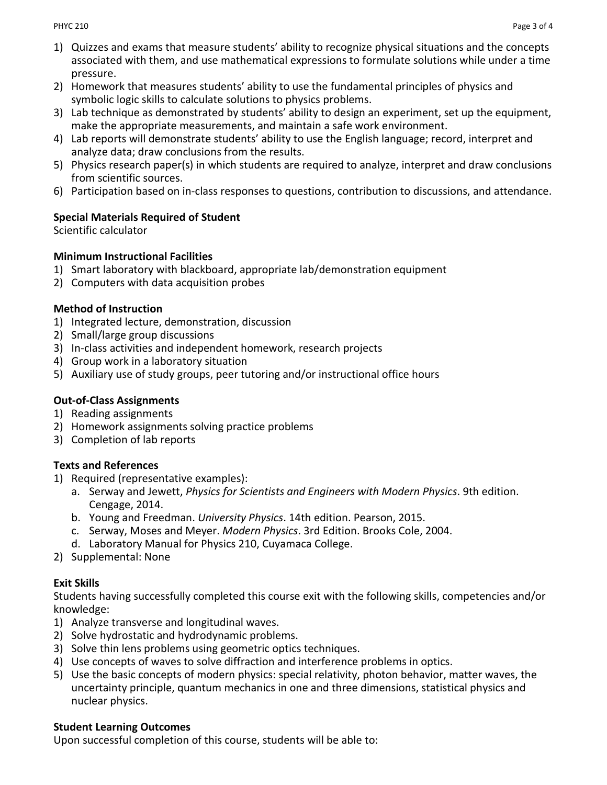- 1) Quizzes and exams that measure students' ability to recognize physical situations and the concepts associated with them, and use mathematical expressions to formulate solutions while under a time pressure.
- 2) Homework that measures students' ability to use the fundamental principles of physics and symbolic logic skills to calculate solutions to physics problems.
- 3) Lab technique as demonstrated by students' ability to design an experiment, set up the equipment, make the appropriate measurements, and maintain a safe work environment.
- 4) Lab reports will demonstrate students' ability to use the English language; record, interpret and analyze data; draw conclusions from the results.
- 5) Physics research paper(s) in which students are required to analyze, interpret and draw conclusions from scientific sources.
- 6) Participation based on in-class responses to questions, contribution to discussions, and attendance.

## **Special Materials Required of Student**

Scientific calculator

## **Minimum Instructional Facilities**

- 1) Smart laboratory with blackboard, appropriate lab/demonstration equipment
- 2) Computers with data acquisition probes

# **Method of Instruction**

- 1) Integrated lecture, demonstration, discussion
- 2) Small/large group discussions
- 3) In-class activities and independent homework, research projects
- 4) Group work in a laboratory situation
- 5) Auxiliary use of study groups, peer tutoring and/or instructional office hours

# **Out-of-Class Assignments**

- 1) Reading assignments
- 2) Homework assignments solving practice problems
- 3) Completion of lab reports

# **Texts and References**

- 1) Required (representative examples):
	- a. Serway and Jewett, *Physics for Scientists and Engineers with Modern Physics*. 9th edition. Cengage, 2014.
	- b. Young and Freedman. *University Physics*. 14th edition. Pearson, 2015.
	- c. Serway, Moses and Meyer. *Modern Physics*. 3rd Edition. Brooks Cole, 2004.
	- d. Laboratory Manual for Physics 210, Cuyamaca College.
- 2) Supplemental: None

# **Exit Skills**

Students having successfully completed this course exit with the following skills, competencies and/or knowledge:

- 1) Analyze transverse and longitudinal waves.
- 2) Solve hydrostatic and hydrodynamic problems.
- 3) Solve thin lens problems using geometric optics techniques.
- 4) Use concepts of waves to solve diffraction and interference problems in optics.
- 5) Use the basic concepts of modern physics: special relativity, photon behavior, matter waves, the uncertainty principle, quantum mechanics in one and three dimensions, statistical physics and nuclear physics.

### **Student Learning Outcomes**

Upon successful completion of this course, students will be able to: